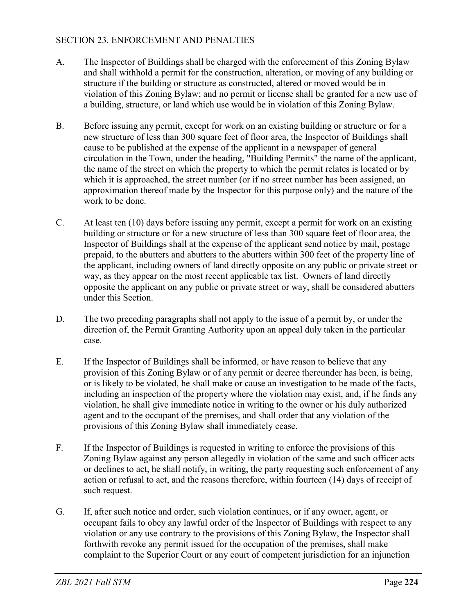## SECTION 23. ENFORCEMENT AND PENALTIES

- A. The Inspector of Buildings shall be charged with the enforcement of this Zoning Bylaw and shall withhold a permit for the construction, alteration, or moving of any building or structure if the building or structure as constructed, altered or moved would be in violation of this Zoning Bylaw; and no permit or license shall be granted for a new use of a building, structure, or land which use would be in violation of this Zoning Bylaw.
- B. Before issuing any permit, except for work on an existing building or structure or for a new structure of less than 300 square feet of floor area, the Inspector of Buildings shall cause to be published at the expense of the applicant in a newspaper of general circulation in the Town, under the heading, "Building Permits" the name of the applicant, the name of the street on which the property to which the permit relates is located or by which it is approached, the street number (or if no street number has been assigned, an approximation thereof made by the Inspector for this purpose only) and the nature of the work to be done.
- C. At least ten (10) days before issuing any permit, except a permit for work on an existing building or structure or for a new structure of less than 300 square feet of floor area, the Inspector of Buildings shall at the expense of the applicant send notice by mail, postage prepaid, to the abutters and abutters to the abutters within 300 feet of the property line of the applicant, including owners of land directly opposite on any public or private street or way, as they appear on the most recent applicable tax list. Owners of land directly opposite the applicant on any public or private street or way, shall be considered abutters under this Section.
- D. The two preceding paragraphs shall not apply to the issue of a permit by, or under the direction of, the Permit Granting Authority upon an appeal duly taken in the particular case.
- E. If the Inspector of Buildings shall be informed, or have reason to believe that any provision of this Zoning Bylaw or of any permit or decree thereunder has been, is being, or is likely to be violated, he shall make or cause an investigation to be made of the facts, including an inspection of the property where the violation may exist, and, if he finds any violation, he shall give immediate notice in writing to the owner or his duly authorized agent and to the occupant of the premises, and shall order that any violation of the provisions of this Zoning Bylaw shall immediately cease.
- F. If the Inspector of Buildings is requested in writing to enforce the provisions of this Zoning Bylaw against any person allegedly in violation of the same and such officer acts or declines to act, he shall notify, in writing, the party requesting such enforcement of any action or refusal to act, and the reasons therefore, within fourteen (14) days of receipt of such request.
- G. If, after such notice and order, such violation continues, or if any owner, agent, or occupant fails to obey any lawful order of the Inspector of Buildings with respect to any violation or any use contrary to the provisions of this Zoning Bylaw, the Inspector shall forthwith revoke any permit issued for the occupation of the premises, shall make complaint to the Superior Court or any court of competent jurisdiction for an injunction